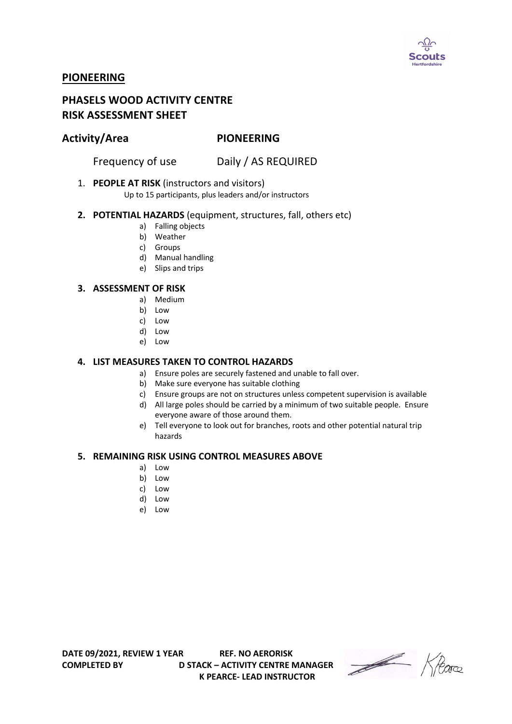

# **PIONEERING**

# **PHASELS WOOD ACTIVITY CENTRE RISK ASSESSMENT SHEET**

## **Activity/Area PIONEERING**

Frequency of use Daily / AS REQUIRED

### 1. **PEOPLE AT RISK** (instructors and visitors)

Up to 15 participants, plus leaders and/or instructors

#### **2. POTENTIAL HAZARDS** (equipment, structures, fall, others etc)

- a) Falling objects
- b) Weather
- c) Groups
- d) Manual handling
- e) Slips and trips

#### **3. ASSESSMENT OF RISK**

- a) Medium
- b) Low
- c) Low
- d) Low
- e) Low

### **4. LIST MEASURES TAKEN TO CONTROL HAZARDS**

- a) Ensure poles are securely fastened and unable to fall over.
- b) Make sure everyone has suitable clothing
- c) Ensure groups are not on structures unless competent supervision is available
- d) All large poles should be carried by a minimum of two suitable people. Ensure everyone aware of those around them.
- e) Tell everyone to look out for branches, roots and other potential natural trip hazards

#### **5. REMAINING RISK USING CONTROL MEASURES ABOVE**

- a) Low
- b) Low
- c) Low
- d) Low
- e) Low

**COMPLETED BY D STACK – ACTIVITY CENTRE MANAGER K PEARCE- LEAD INSTRUCTOR** 

Heare